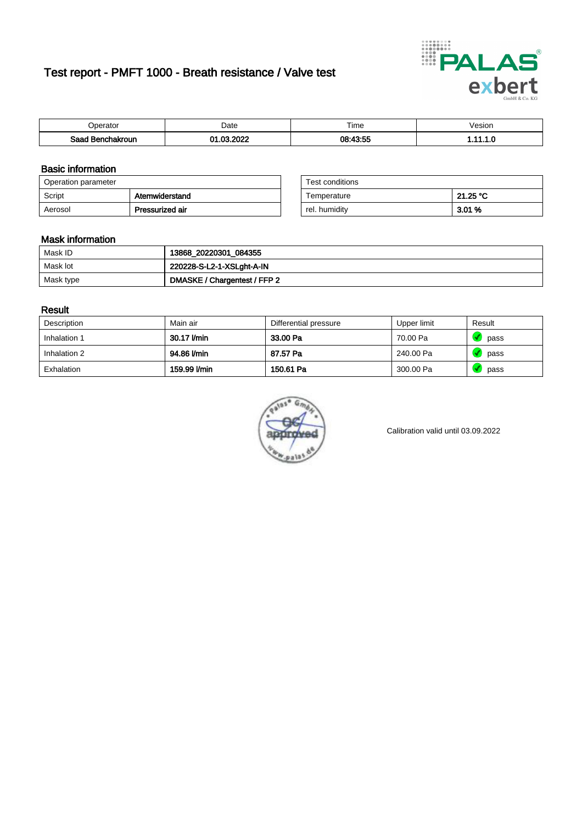# Test report - PMFT 1000 - Breath resistance / Valve test



| <b>'</b> perator              | Date        | $- \cdot$<br><b>Time</b> | /esion |
|-------------------------------|-------------|--------------------------|--------|
| Saad<br><b>nchakroun</b><br>. | 000<br>c.c. | $08.43 - 55$             | .      |

### Basic information

| Operation parameter |                 | Test conditions |          |
|---------------------|-----------------|-----------------|----------|
| Script              | Atemwiderstand  | Temperature     | 21.25 °C |
| Aerosol             | Pressurized air | rel. humidity   | 3.01 %   |

| Test conditions |          |
|-----------------|----------|
| Temperature     | 21.25 °C |
| rel. humidity   | 3.01%    |

#### Mask information

| Mask ID   | 13868_20220301_084355        |
|-----------|------------------------------|
| Mask lot  | 220228-S-L2-1-XSLght-A-IN    |
| Mask type | DMASKE / Chargentest / FFP 2 |

### Result

| Description  | Main air     | Differential pressure | Upper limit | Result |
|--------------|--------------|-----------------------|-------------|--------|
| Inhalation 1 | 30.17 l/min  | 33.00 Pa              | 70.00 Pa    | pass   |
| Inhalation 2 | 94.86 l/min  | 87.57 Pa              | 240.00 Pa   | pass   |
| Exhalation   | 159.99 l/min | 150.61 Pa             | 300.00 Pa   | pass   |



Calibration valid until 03.09.2022